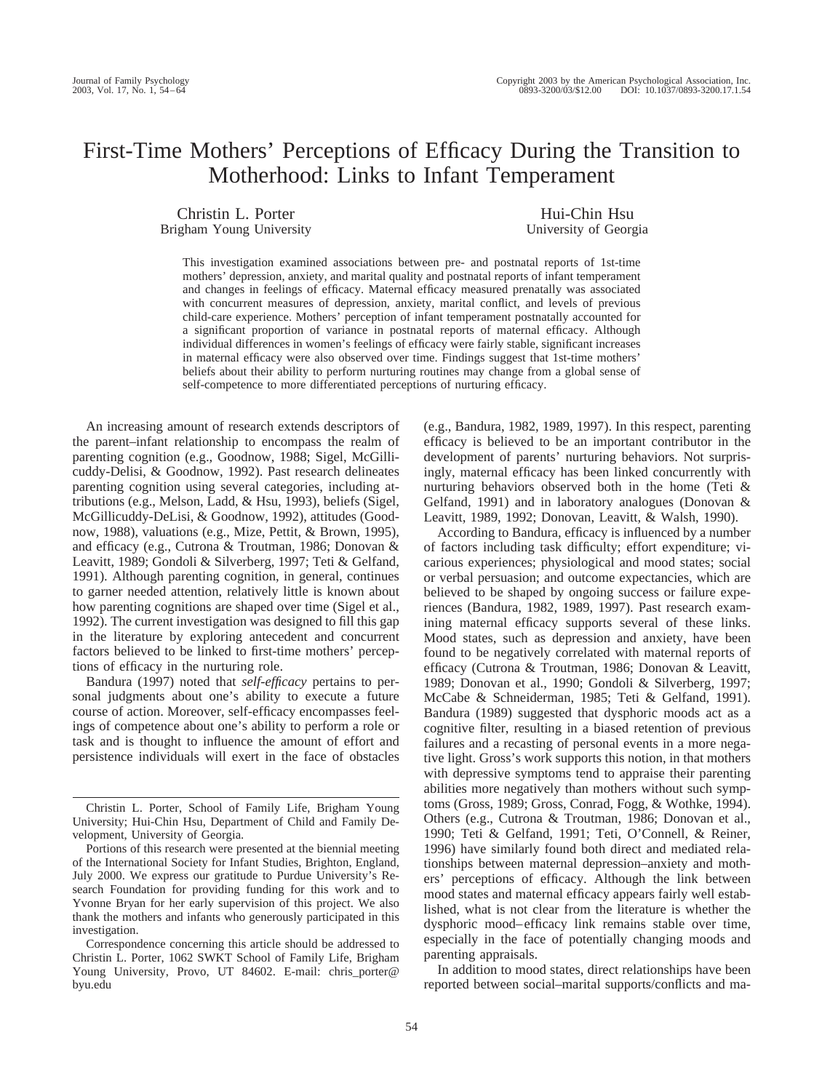# First-Time Mothers' Perceptions of Efficacy During the Transition to Motherhood: Links to Infant Temperament

Christin L. Porter Brigham Young University

Hui-Chin Hsu University of Georgia

This investigation examined associations between pre- and postnatal reports of 1st-time mothers' depression, anxiety, and marital quality and postnatal reports of infant temperament and changes in feelings of efficacy. Maternal efficacy measured prenatally was associated with concurrent measures of depression, anxiety, marital conflict, and levels of previous child-care experience. Mothers' perception of infant temperament postnatally accounted for a significant proportion of variance in postnatal reports of maternal efficacy. Although individual differences in women's feelings of efficacy were fairly stable, significant increases in maternal efficacy were also observed over time. Findings suggest that 1st-time mothers' beliefs about their ability to perform nurturing routines may change from a global sense of self-competence to more differentiated perceptions of nurturing efficacy.

An increasing amount of research extends descriptors of the parent–infant relationship to encompass the realm of parenting cognition (e.g., Goodnow, 1988; Sigel, McGillicuddy-Delisi, & Goodnow, 1992). Past research delineates parenting cognition using several categories, including attributions (e.g., Melson, Ladd, & Hsu, 1993), beliefs (Sigel, McGillicuddy-DeLisi, & Goodnow, 1992), attitudes (Goodnow, 1988), valuations (e.g., Mize, Pettit, & Brown, 1995), and efficacy (e.g., Cutrona & Troutman, 1986; Donovan & Leavitt, 1989; Gondoli & Silverberg, 1997; Teti & Gelfand, 1991). Although parenting cognition, in general, continues to garner needed attention, relatively little is known about how parenting cognitions are shaped over time (Sigel et al., 1992). The current investigation was designed to fill this gap in the literature by exploring antecedent and concurrent factors believed to be linked to first-time mothers' perceptions of efficacy in the nurturing role.

Bandura (1997) noted that *self-efficacy* pertains to personal judgments about one's ability to execute a future course of action. Moreover, self-efficacy encompasses feelings of competence about one's ability to perform a role or task and is thought to influence the amount of effort and persistence individuals will exert in the face of obstacles

(e.g., Bandura, 1982, 1989, 1997). In this respect, parenting efficacy is believed to be an important contributor in the development of parents' nurturing behaviors. Not surprisingly, maternal efficacy has been linked concurrently with nurturing behaviors observed both in the home (Teti & Gelfand, 1991) and in laboratory analogues (Donovan & Leavitt, 1989, 1992; Donovan, Leavitt, & Walsh, 1990).

According to Bandura, efficacy is influenced by a number of factors including task difficulty; effort expenditure; vicarious experiences; physiological and mood states; social or verbal persuasion; and outcome expectancies, which are believed to be shaped by ongoing success or failure experiences (Bandura, 1982, 1989, 1997). Past research examining maternal efficacy supports several of these links. Mood states, such as depression and anxiety, have been found to be negatively correlated with maternal reports of efficacy (Cutrona & Troutman, 1986; Donovan & Leavitt, 1989; Donovan et al., 1990; Gondoli & Silverberg, 1997; McCabe & Schneiderman, 1985; Teti & Gelfand, 1991). Bandura (1989) suggested that dysphoric moods act as a cognitive filter, resulting in a biased retention of previous failures and a recasting of personal events in a more negative light. Gross's work supports this notion, in that mothers with depressive symptoms tend to appraise their parenting abilities more negatively than mothers without such symptoms (Gross, 1989; Gross, Conrad, Fogg, & Wothke, 1994). Others (e.g., Cutrona & Troutman, 1986; Donovan et al., 1990; Teti & Gelfand, 1991; Teti, O'Connell, & Reiner, 1996) have similarly found both direct and mediated relationships between maternal depression–anxiety and mothers' perceptions of efficacy. Although the link between mood states and maternal efficacy appears fairly well established, what is not clear from the literature is whether the dysphoric mood–efficacy link remains stable over time, especially in the face of potentially changing moods and parenting appraisals.

In addition to mood states, direct relationships have been reported between social–marital supports/conflicts and ma-

Christin L. Porter, School of Family Life, Brigham Young University; Hui-Chin Hsu, Department of Child and Family Development, University of Georgia.

Portions of this research were presented at the biennial meeting of the International Society for Infant Studies, Brighton, England, July 2000. We express our gratitude to Purdue University's Research Foundation for providing funding for this work and to Yvonne Bryan for her early supervision of this project. We also thank the mothers and infants who generously participated in this investigation.

Correspondence concerning this article should be addressed to Christin L. Porter, 1062 SWKT School of Family Life, Brigham Young University, Provo, UT 84602. E-mail: chris\_porter@ byu.edu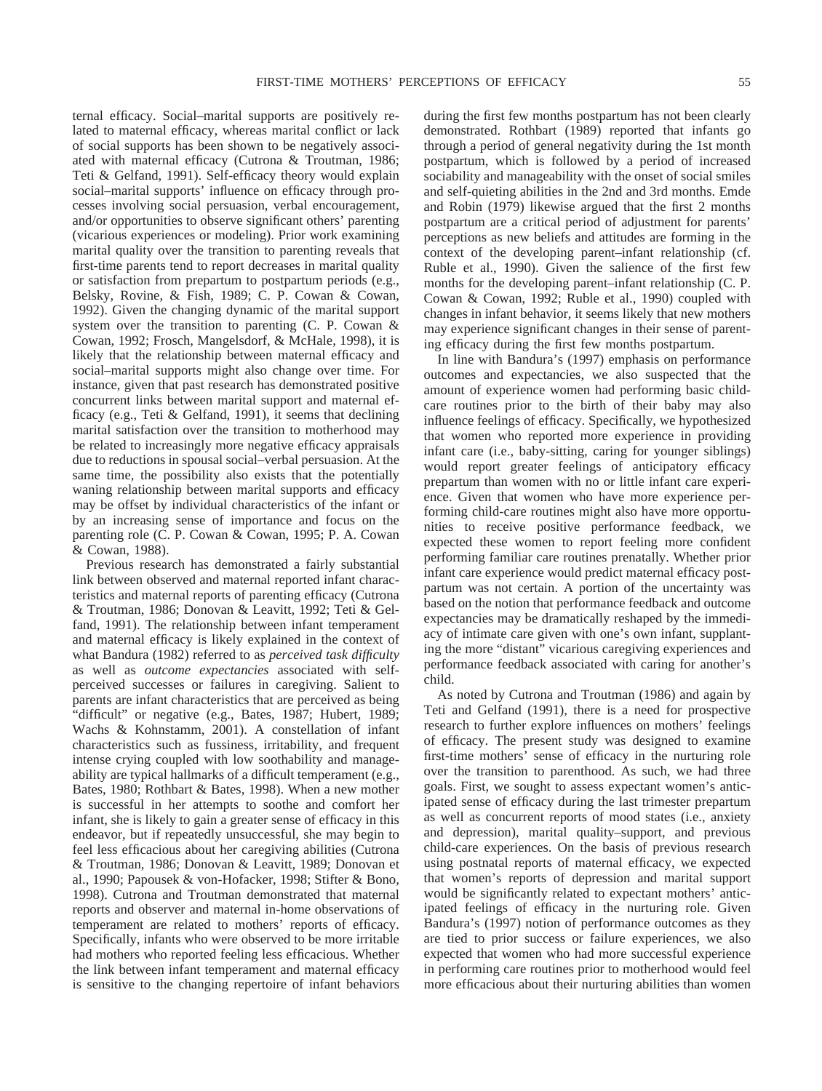ternal efficacy. Social–marital supports are positively related to maternal efficacy, whereas marital conflict or lack of social supports has been shown to be negatively associated with maternal efficacy (Cutrona & Troutman, 1986; Teti & Gelfand, 1991). Self-efficacy theory would explain social–marital supports' influence on efficacy through processes involving social persuasion, verbal encouragement, and/or opportunities to observe significant others' parenting (vicarious experiences or modeling). Prior work examining marital quality over the transition to parenting reveals that first-time parents tend to report decreases in marital quality or satisfaction from prepartum to postpartum periods (e.g., Belsky, Rovine, & Fish, 1989; C. P. Cowan & Cowan, 1992). Given the changing dynamic of the marital support system over the transition to parenting (C. P. Cowan & Cowan, 1992; Frosch, Mangelsdorf, & McHale, 1998), it is likely that the relationship between maternal efficacy and social–marital supports might also change over time. For instance, given that past research has demonstrated positive concurrent links between marital support and maternal efficacy (e.g., Teti & Gelfand, 1991), it seems that declining marital satisfaction over the transition to motherhood may be related to increasingly more negative efficacy appraisals due to reductions in spousal social–verbal persuasion. At the same time, the possibility also exists that the potentially waning relationship between marital supports and efficacy may be offset by individual characteristics of the infant or by an increasing sense of importance and focus on the parenting role (C. P. Cowan & Cowan, 1995; P. A. Cowan & Cowan, 1988).

Previous research has demonstrated a fairly substantial link between observed and maternal reported infant characteristics and maternal reports of parenting efficacy (Cutrona & Troutman, 1986; Donovan & Leavitt, 1992; Teti & Gelfand, 1991). The relationship between infant temperament and maternal efficacy is likely explained in the context of what Bandura (1982) referred to as *perceived task difficulty* as well as *outcome expectancies* associated with selfperceived successes or failures in caregiving. Salient to parents are infant characteristics that are perceived as being "difficult" or negative (e.g., Bates, 1987; Hubert, 1989; Wachs & Kohnstamm, 2001). A constellation of infant characteristics such as fussiness, irritability, and frequent intense crying coupled with low soothability and manageability are typical hallmarks of a difficult temperament (e.g., Bates, 1980; Rothbart & Bates, 1998). When a new mother is successful in her attempts to soothe and comfort her infant, she is likely to gain a greater sense of efficacy in this endeavor, but if repeatedly unsuccessful, she may begin to feel less efficacious about her caregiving abilities (Cutrona & Troutman, 1986; Donovan & Leavitt, 1989; Donovan et al., 1990; Papousek & von-Hofacker, 1998; Stifter & Bono, 1998). Cutrona and Troutman demonstrated that maternal reports and observer and maternal in-home observations of temperament are related to mothers' reports of efficacy. Specifically, infants who were observed to be more irritable had mothers who reported feeling less efficacious. Whether the link between infant temperament and maternal efficacy is sensitive to the changing repertoire of infant behaviors

during the first few months postpartum has not been clearly demonstrated. Rothbart (1989) reported that infants go through a period of general negativity during the 1st month postpartum, which is followed by a period of increased sociability and manageability with the onset of social smiles and self-quieting abilities in the 2nd and 3rd months. Emde and Robin (1979) likewise argued that the first 2 months postpartum are a critical period of adjustment for parents' perceptions as new beliefs and attitudes are forming in the context of the developing parent–infant relationship (cf. Ruble et al., 1990). Given the salience of the first few months for the developing parent–infant relationship (C. P. Cowan & Cowan, 1992; Ruble et al., 1990) coupled with changes in infant behavior, it seems likely that new mothers may experience significant changes in their sense of parenting efficacy during the first few months postpartum.

In line with Bandura's (1997) emphasis on performance outcomes and expectancies, we also suspected that the amount of experience women had performing basic childcare routines prior to the birth of their baby may also influence feelings of efficacy. Specifically, we hypothesized that women who reported more experience in providing infant care (i.e., baby-sitting, caring for younger siblings) would report greater feelings of anticipatory efficacy prepartum than women with no or little infant care experience. Given that women who have more experience performing child-care routines might also have more opportunities to receive positive performance feedback, we expected these women to report feeling more confident performing familiar care routines prenatally. Whether prior infant care experience would predict maternal efficacy postpartum was not certain. A portion of the uncertainty was based on the notion that performance feedback and outcome expectancies may be dramatically reshaped by the immediacy of intimate care given with one's own infant, supplanting the more "distant" vicarious caregiving experiences and performance feedback associated with caring for another's child.

As noted by Cutrona and Troutman (1986) and again by Teti and Gelfand (1991), there is a need for prospective research to further explore influences on mothers' feelings of efficacy. The present study was designed to examine first-time mothers' sense of efficacy in the nurturing role over the transition to parenthood. As such, we had three goals. First, we sought to assess expectant women's anticipated sense of efficacy during the last trimester prepartum as well as concurrent reports of mood states (i.e., anxiety and depression), marital quality–support, and previous child-care experiences. On the basis of previous research using postnatal reports of maternal efficacy, we expected that women's reports of depression and marital support would be significantly related to expectant mothers' anticipated feelings of efficacy in the nurturing role. Given Bandura's (1997) notion of performance outcomes as they are tied to prior success or failure experiences, we also expected that women who had more successful experience in performing care routines prior to motherhood would feel more efficacious about their nurturing abilities than women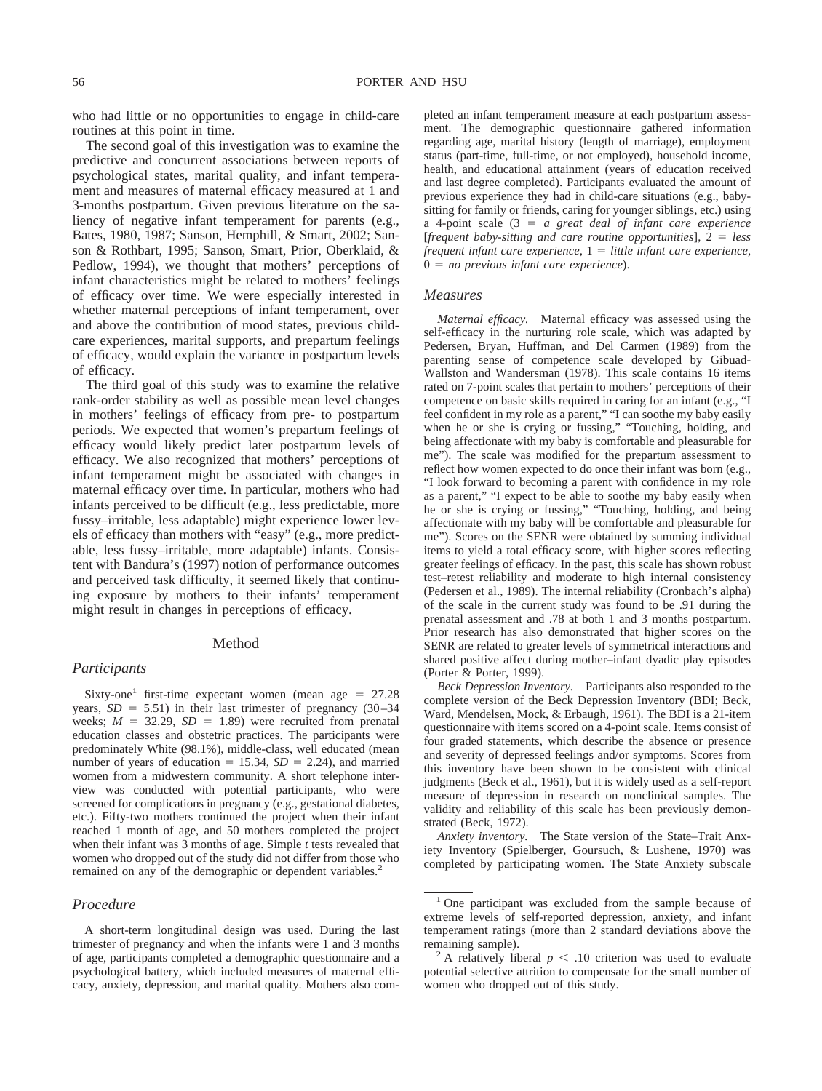who had little or no opportunities to engage in child-care routines at this point in time.

The second goal of this investigation was to examine the predictive and concurrent associations between reports of psychological states, marital quality, and infant temperament and measures of maternal efficacy measured at 1 and 3-months postpartum. Given previous literature on the saliency of negative infant temperament for parents (e.g., Bates, 1980, 1987; Sanson, Hemphill, & Smart, 2002; Sanson & Rothbart, 1995; Sanson, Smart, Prior, Oberklaid, & Pedlow, 1994), we thought that mothers' perceptions of infant characteristics might be related to mothers' feelings of efficacy over time. We were especially interested in whether maternal perceptions of infant temperament, over and above the contribution of mood states, previous childcare experiences, marital supports, and prepartum feelings of efficacy, would explain the variance in postpartum levels of efficacy.

The third goal of this study was to examine the relative rank-order stability as well as possible mean level changes in mothers' feelings of efficacy from pre- to postpartum periods. We expected that women's prepartum feelings of efficacy would likely predict later postpartum levels of efficacy. We also recognized that mothers' perceptions of infant temperament might be associated with changes in maternal efficacy over time. In particular, mothers who had infants perceived to be difficult (e.g., less predictable, more fussy–irritable, less adaptable) might experience lower levels of efficacy than mothers with "easy" (e.g., more predictable, less fussy–irritable, more adaptable) infants. Consistent with Bandura's (1997) notion of performance outcomes and perceived task difficulty, it seemed likely that continuing exposure by mothers to their infants' temperament might result in changes in perceptions of efficacy.

#### Method

# *Participants*

Sixty-one<sup>1</sup> first-time expectant women (mean age  $= 27.28$ ) years,  $SD = 5.51$ ) in their last trimester of pregnancy  $(30-34)$ weeks;  $M = 32.29$ ,  $SD = 1.89$ ) were recruited from prenatal education classes and obstetric practices. The participants were predominately White (98.1%), middle-class, well educated (mean number of years of education  $= 15.34$ ,  $SD = 2.24$ ), and married women from a midwestern community. A short telephone interview was conducted with potential participants, who were screened for complications in pregnancy (e.g., gestational diabetes, etc.). Fifty-two mothers continued the project when their infant reached 1 month of age, and 50 mothers completed the project when their infant was 3 months of age. Simple *t* tests revealed that women who dropped out of the study did not differ from those who remained on any of the demographic or dependent variables.<sup>2</sup>

### *Procedure*

A short-term longitudinal design was used. During the last trimester of pregnancy and when the infants were 1 and 3 months of age, participants completed a demographic questionnaire and a psychological battery, which included measures of maternal efficacy, anxiety, depression, and marital quality. Mothers also com-

pleted an infant temperament measure at each postpartum assessment. The demographic questionnaire gathered information regarding age, marital history (length of marriage), employment status (part-time, full-time, or not employed), household income, health, and educational attainment (years of education received and last degree completed). Participants evaluated the amount of previous experience they had in child-care situations (e.g., babysitting for family or friends, caring for younger siblings, etc.) using a 4-point scale (3 *a great deal of infant care experience* [*frequent baby-sitting and care routine opportunities*], 2 *less frequent infant care experience,* 1 *little infant care experience,* 0 *no previous infant care experience*).

#### *Measures*

*Maternal efficacy.* Maternal efficacy was assessed using the self-efficacy in the nurturing role scale, which was adapted by Pedersen, Bryan, Huffman, and Del Carmen (1989) from the parenting sense of competence scale developed by Gibuad-Wallston and Wandersman (1978). This scale contains 16 items rated on 7-point scales that pertain to mothers' perceptions of their competence on basic skills required in caring for an infant (e.g., "I feel confident in my role as a parent," "I can soothe my baby easily when he or she is crying or fussing," "Touching, holding, and being affectionate with my baby is comfortable and pleasurable for me"). The scale was modified for the prepartum assessment to reflect how women expected to do once their infant was born (e.g., "I look forward to becoming a parent with confidence in my role as a parent," "I expect to be able to soothe my baby easily when he or she is crying or fussing," "Touching, holding, and being affectionate with my baby will be comfortable and pleasurable for me"). Scores on the SENR were obtained by summing individual items to yield a total efficacy score, with higher scores reflecting greater feelings of efficacy. In the past, this scale has shown robust test–retest reliability and moderate to high internal consistency (Pedersen et al., 1989). The internal reliability (Cronbach's alpha) of the scale in the current study was found to be .91 during the prenatal assessment and .78 at both 1 and 3 months postpartum. Prior research has also demonstrated that higher scores on the SENR are related to greater levels of symmetrical interactions and shared positive affect during mother–infant dyadic play episodes (Porter & Porter, 1999).

*Beck Depression Inventory.* Participants also responded to the complete version of the Beck Depression Inventory (BDI; Beck, Ward, Mendelsen, Mock, & Erbaugh, 1961). The BDI is a 21-item questionnaire with items scored on a 4-point scale. Items consist of four graded statements, which describe the absence or presence and severity of depressed feelings and/or symptoms. Scores from this inventory have been shown to be consistent with clinical judgments (Beck et al., 1961), but it is widely used as a self-report measure of depression in research on nonclinical samples. The validity and reliability of this scale has been previously demonstrated (Beck, 1972).

*Anxiety inventory.* The State version of the State–Trait Anxiety Inventory (Spielberger, Goursuch, & Lushene, 1970) was completed by participating women. The State Anxiety subscale

<sup>&</sup>lt;sup>1</sup> One participant was excluded from the sample because of extreme levels of self-reported depression, anxiety, and infant temperament ratings (more than 2 standard deviations above the remaining sample).<br><sup>2</sup> A relatively liberal  $p < .10$  criterion was used to evaluate

potential selective attrition to compensate for the small number of women who dropped out of this study.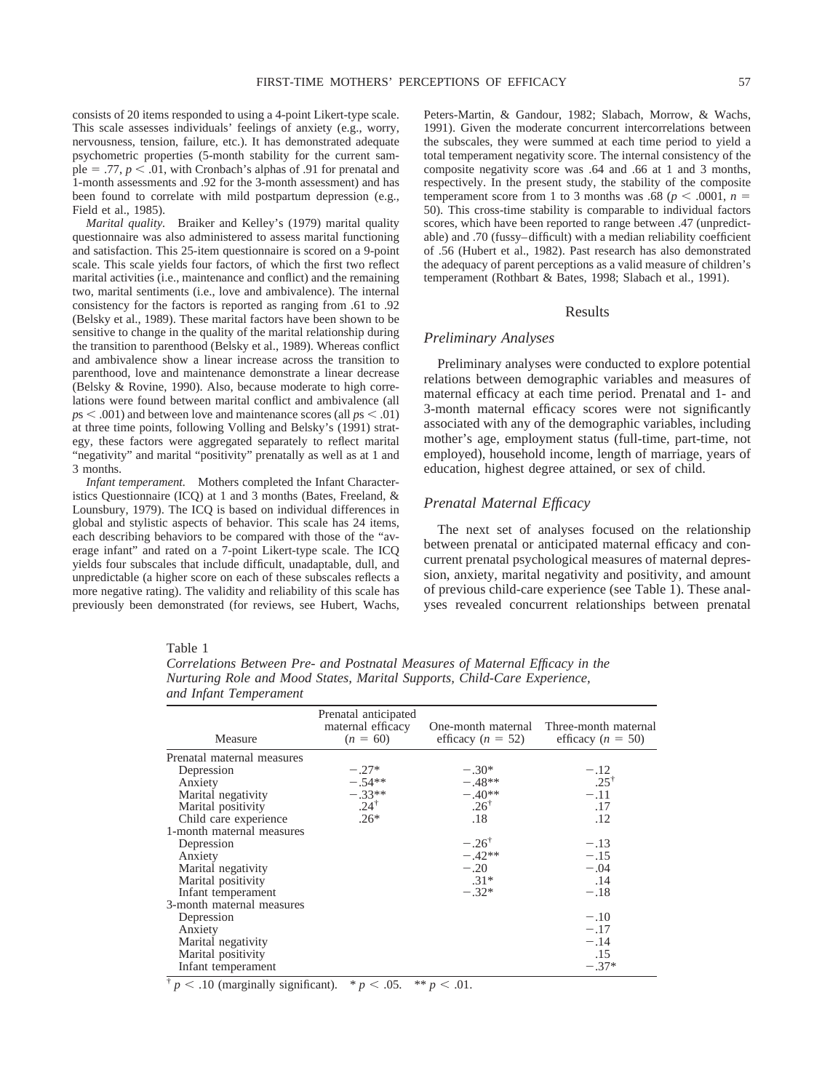consists of 20 items responded to using a 4-point Likert-type scale. This scale assesses individuals' feelings of anxiety (e.g., worry, nervousness, tension, failure, etc.). It has demonstrated adequate psychometric properties (5-month stability for the current sam $ple = .77, p < .01$ , with Cronbach's alphas of .91 for prenatal and 1-month assessments and .92 for the 3-month assessment) and has been found to correlate with mild postpartum depression (e.g., Field et al., 1985).

*Marital quality.* Braiker and Kelley's (1979) marital quality questionnaire was also administered to assess marital functioning and satisfaction. This 25-item questionnaire is scored on a 9-point scale. This scale yields four factors, of which the first two reflect marital activities (i.e., maintenance and conflict) and the remaining two, marital sentiments (i.e., love and ambivalence). The internal consistency for the factors is reported as ranging from .61 to .92 (Belsky et al., 1989). These marital factors have been shown to be sensitive to change in the quality of the marital relationship during the transition to parenthood (Belsky et al., 1989). Whereas conflict and ambivalence show a linear increase across the transition to parenthood, love and maintenance demonstrate a linear decrease (Belsky & Rovine, 1990). Also, because moderate to high correlations were found between marital conflict and ambivalence (all  $p s < .001$ ) and between love and maintenance scores (all  $p s < .01$ ) at three time points, following Volling and Belsky's (1991) strategy, these factors were aggregated separately to reflect marital "negativity" and marital "positivity" prenatally as well as at 1 and 3 months.

*Infant temperament.* Mothers completed the Infant Characteristics Questionnaire (ICQ) at 1 and 3 months (Bates, Freeland, & Lounsbury, 1979). The ICQ is based on individual differences in global and stylistic aspects of behavior. This scale has 24 items, each describing behaviors to be compared with those of the "average infant" and rated on a 7-point Likert-type scale. The ICQ yields four subscales that include difficult, unadaptable, dull, and unpredictable (a higher score on each of these subscales reflects a more negative rating). The validity and reliability of this scale has previously been demonstrated (for reviews, see Hubert, Wachs, Peters-Martin, & Gandour, 1982; Slabach, Morrow, & Wachs, 1991). Given the moderate concurrent intercorrelations between the subscales, they were summed at each time period to yield a total temperament negativity score. The internal consistency of the composite negativity score was .64 and .66 at 1 and 3 months, respectively. In the present study, the stability of the composite temperament score from 1 to 3 months was .68 ( $p < .0001$ ,  $n =$ 50). This cross-time stability is comparable to individual factors scores, which have been reported to range between .47 (unpredictable) and .70 (fussy–difficult) with a median reliability coefficient of .56 (Hubert et al., 1982). Past research has also demonstrated the adequacy of parent perceptions as a valid measure of children's temperament (Rothbart & Bates, 1998; Slabach et al., 1991).

## Results

## *Preliminary Analyses*

Preliminary analyses were conducted to explore potential relations between demographic variables and measures of maternal efficacy at each time period. Prenatal and 1- and 3-month maternal efficacy scores were not significantly associated with any of the demographic variables, including mother's age, employment status (full-time, part-time, not employed), household income, length of marriage, years of education, highest degree attained, or sex of child.

# *Prenatal Maternal Efficacy*

The next set of analyses focused on the relationship between prenatal or anticipated maternal efficacy and concurrent prenatal psychological measures of maternal depression, anxiety, marital negativity and positivity, and amount of previous child-care experience (see Table 1). These analyses revealed concurrent relationships between prenatal

#### Table 1

*Correlations Between Pre- and Postnatal Measures of Maternal Efficacy in the Nurturing Role and Mood States, Marital Supports, Child-Care Experience, and Infant Temperament*

| Measure                    | Prenatal anticipated<br>maternal efficacy<br>$(n = 60)$ | efficacy $(n = 52)$ | One-month maternal Three-month maternal<br>efficacy ( $n = 50$ ) |
|----------------------------|---------------------------------------------------------|---------------------|------------------------------------------------------------------|
| Prenatal maternal measures |                                                         |                     |                                                                  |
| Depression                 | $-.27*$                                                 | $-.30*$             | $-.12$                                                           |
| Anxiety                    | $-.54**$                                                | $-.48**$            | $.25^{\dagger}$                                                  |
| Marital negativity         | $-.33**$                                                | $-.40**$            | $-.11$                                                           |
| Marital positivity         | $.24^{\dagger}$                                         | $.26^{\dagger}$     | .17                                                              |
| Child care experience      | $.26*$                                                  | .18                 | .12                                                              |
| 1-month maternal measures  |                                                         |                     |                                                                  |
| Depression                 |                                                         | $-.26^{\dagger}$    | $-.13$                                                           |
| Anxiety                    |                                                         | $-.42**$            | $-.15$                                                           |
| Marital negativity         |                                                         | $-.20$              | $-.04$                                                           |
| Marital positivity         |                                                         | $.31*$              | .14                                                              |
| Infant temperament         |                                                         | $-.32*$             | $-.18$                                                           |
| 3-month maternal measures  |                                                         |                     |                                                                  |
| Depression                 |                                                         |                     | $-.10$                                                           |
| Anxiety                    |                                                         |                     | $-.17$                                                           |
| Marital negativity         |                                                         |                     | $-.14$                                                           |
| Marital positivity         |                                                         |                     | .15                                                              |
| Infant temperament         |                                                         |                     | $-.37*$                                                          |

 $\frac{p}{p}$  - .10 (marginally significant).  $\frac{p}{p}$  - .05.  $\frac{p}{p}$  - .01.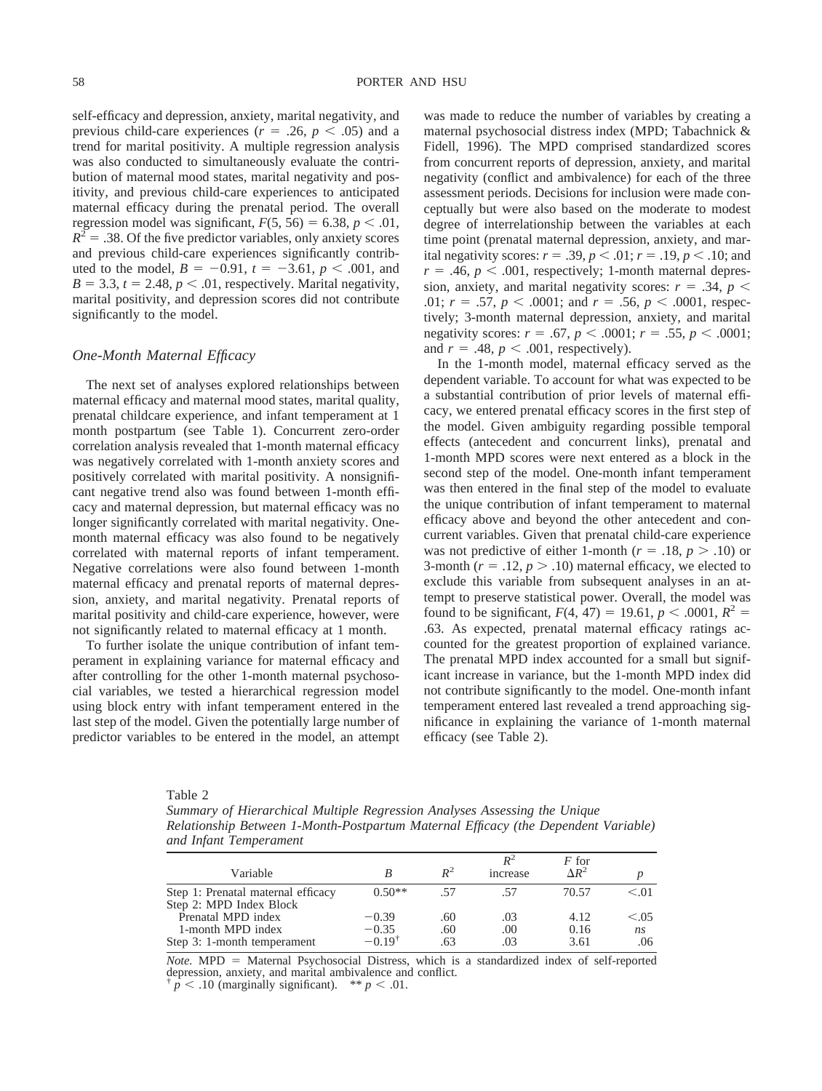self-efficacy and depression, anxiety, marital negativity, and previous child-care experiences ( $r = .26$ ,  $p < .05$ ) and a trend for marital positivity. A multiple regression analysis was also conducted to simultaneously evaluate the contribution of maternal mood states, marital negativity and positivity, and previous child-care experiences to anticipated maternal efficacy during the prenatal period. The overall regression model was significant,  $F(5, 56) = 6.38$ ,  $p < .01$ ,  $R^2$  = .38. Of the five predictor variables, only anxiety scores and previous child-care experiences significantly contributed to the model,  $B = -0.91$ ,  $t = -3.61$ ,  $p < .001$ , and  $B = 3.3$ ,  $t = 2.48$ ,  $p < .01$ , respectively. Marital negativity, marital positivity, and depression scores did not contribute significantly to the model.

## *One-Month Maternal Efficacy*

The next set of analyses explored relationships between maternal efficacy and maternal mood states, marital quality, prenatal childcare experience, and infant temperament at 1 month postpartum (see Table 1). Concurrent zero-order correlation analysis revealed that 1-month maternal efficacy was negatively correlated with 1-month anxiety scores and positively correlated with marital positivity. A nonsignificant negative trend also was found between 1-month efficacy and maternal depression, but maternal efficacy was no longer significantly correlated with marital negativity. Onemonth maternal efficacy was also found to be negatively correlated with maternal reports of infant temperament. Negative correlations were also found between 1-month maternal efficacy and prenatal reports of maternal depression, anxiety, and marital negativity. Prenatal reports of marital positivity and child-care experience, however, were not significantly related to maternal efficacy at 1 month.

To further isolate the unique contribution of infant temperament in explaining variance for maternal efficacy and after controlling for the other 1-month maternal psychosocial variables, we tested a hierarchical regression model using block entry with infant temperament entered in the last step of the model. Given the potentially large number of predictor variables to be entered in the model, an attempt was made to reduce the number of variables by creating a maternal psychosocial distress index (MPD; Tabachnick & Fidell, 1996). The MPD comprised standardized scores from concurrent reports of depression, anxiety, and marital negativity (conflict and ambivalence) for each of the three assessment periods. Decisions for inclusion were made conceptually but were also based on the moderate to modest degree of interrelationship between the variables at each time point (prenatal maternal depression, anxiety, and marital negativity scores:  $r = .39, p < .01; r = .19, p < .10;$  and  $r = .46$ ,  $p < .001$ , respectively; 1-month maternal depression, anxiety, and marital negativity scores:  $r = .34$ ,  $p <$ .01;  $r = .57$ ,  $p < .0001$ ; and  $r = .56$ ,  $p < .0001$ , respectively; 3-month maternal depression, anxiety, and marital negativity scores:  $r = .67$ ,  $p < .0001$ ;  $r = .55$ ,  $p < .0001$ ; and  $r = .48$ ,  $p < .001$ , respectively).

In the 1-month model, maternal efficacy served as the dependent variable. To account for what was expected to be a substantial contribution of prior levels of maternal efficacy, we entered prenatal efficacy scores in the first step of the model. Given ambiguity regarding possible temporal effects (antecedent and concurrent links), prenatal and 1-month MPD scores were next entered as a block in the second step of the model. One-month infant temperament was then entered in the final step of the model to evaluate the unique contribution of infant temperament to maternal efficacy above and beyond the other antecedent and concurrent variables. Given that prenatal child-care experience was not predictive of either 1-month ( $r = .18$ ,  $p > .10$ ) or 3-month  $(r = .12, p > .10)$  maternal efficacy, we elected to exclude this variable from subsequent analyses in an attempt to preserve statistical power. Overall, the model was found to be significant,  $F(4, 47) = 19.61$ ,  $p < .0001$ ,  $R^2 =$ .63. As expected, prenatal maternal efficacy ratings accounted for the greatest proportion of explained variance. The prenatal MPD index accounted for a small but significant increase in variance, but the 1-month MPD index did not contribute significantly to the model. One-month infant temperament entered last revealed a trend approaching significance in explaining the variance of 1-month maternal efficacy (see Table 2).

Table 2

*Summary of Hierarchical Multiple Regression Analyses Assessing the Unique Relationship Between 1-Month-Postpartum Maternal Efficacy (the Dependent Variable) and Infant Temperament*

| Variable                                                      |                              | $R^2$      | $R^2$<br>increase | $F$ for<br>$\Delta R^2$ |                       |
|---------------------------------------------------------------|------------------------------|------------|-------------------|-------------------------|-----------------------|
| Step 1: Prenatal maternal efficacy<br>Step 2: MPD Index Block | $0.50**$                     | .57        | .57               | 70.57                   | < 0.01                |
| Prenatal MPD index                                            | $-0.39$                      | .60        | .03               | 4.12                    | < 0.05                |
| 1-month MPD index<br>Step 3: 1-month temperament              | $-0.35$<br>$-0.19^{\dagger}$ | .60<br>.63 | .00<br>.03        | 0.16<br>3.61            | n <sub>s</sub><br>.06 |

 $Note. MPD = Maternal Psychology$  Distress, which is a standardized index of self-reported depression, anxiety, and marital ambivalence and conflict.  $\frac{1}{p} p < .10$  (marginally significant).  $\frac{1}{p} p < .01$ .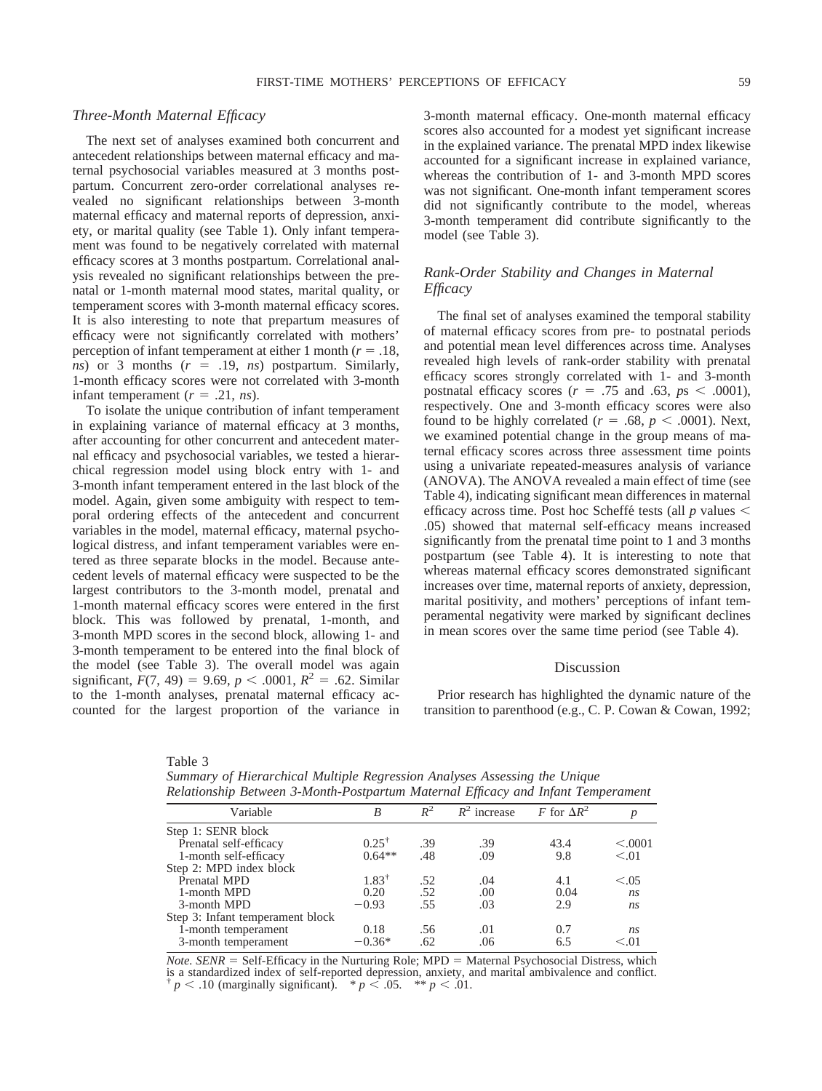## FIRST-TIME MOTHERS' PERCEPTIONS OF EFFICACY 59

#### *Three-Month Maternal Efficacy*

The next set of analyses examined both concurrent and antecedent relationships between maternal efficacy and maternal psychosocial variables measured at 3 months postpartum. Concurrent zero-order correlational analyses revealed no significant relationships between 3-month maternal efficacy and maternal reports of depression, anxiety, or marital quality (see Table 1). Only infant temperament was found to be negatively correlated with maternal efficacy scores at 3 months postpartum. Correlational analysis revealed no significant relationships between the prenatal or 1-month maternal mood states, marital quality, or temperament scores with 3-month maternal efficacy scores. It is also interesting to note that prepartum measures of efficacy were not significantly correlated with mothers' perception of infant temperament at either 1 month  $(r = .18, )$  $ns$ ) or 3 months  $(r = .19, ns)$  postpartum. Similarly, 1-month efficacy scores were not correlated with 3-month infant temperament  $(r = .21, ns)$ .

To isolate the unique contribution of infant temperament in explaining variance of maternal efficacy at 3 months, after accounting for other concurrent and antecedent maternal efficacy and psychosocial variables, we tested a hierarchical regression model using block entry with 1- and 3-month infant temperament entered in the last block of the model. Again, given some ambiguity with respect to temporal ordering effects of the antecedent and concurrent variables in the model, maternal efficacy, maternal psychological distress, and infant temperament variables were entered as three separate blocks in the model. Because antecedent levels of maternal efficacy were suspected to be the largest contributors to the 3-month model, prenatal and 1-month maternal efficacy scores were entered in the first block. This was followed by prenatal, 1-month, and 3-month MPD scores in the second block, allowing 1- and 3-month temperament to be entered into the final block of the model (see Table 3). The overall model was again significant,  $F(7, 49) = 9.69$ ,  $p < .0001$ ,  $R^2 = .62$ . Similar to the 1-month analyses, prenatal maternal efficacy accounted for the largest proportion of the variance in 3-month maternal efficacy. One-month maternal efficacy scores also accounted for a modest yet significant increase in the explained variance. The prenatal MPD index likewise accounted for a significant increase in explained variance, whereas the contribution of 1- and 3-month MPD scores was not significant. One-month infant temperament scores did not significantly contribute to the model, whereas 3-month temperament did contribute significantly to the model (see Table 3).

# *Rank-Order Stability and Changes in Maternal Efficacy*

The final set of analyses examined the temporal stability of maternal efficacy scores from pre- to postnatal periods and potential mean level differences across time. Analyses revealed high levels of rank-order stability with prenatal efficacy scores strongly correlated with 1- and 3-month postnatal efficacy scores  $(r = .75 \text{ and } .63, \text{ ps } < .0001)$ , respectively. One and 3-month efficacy scores were also found to be highly correlated ( $r = .68$ ,  $p < .0001$ ). Next, we examined potential change in the group means of maternal efficacy scores across three assessment time points using a univariate repeated-measures analysis of variance (ANOVA). The ANOVA revealed a main effect of time (see Table 4), indicating significant mean differences in maternal efficacy across time. Post hoc Scheffé tests (all *p* values < .05) showed that maternal self-efficacy means increased significantly from the prenatal time point to 1 and 3 months postpartum (see Table 4). It is interesting to note that whereas maternal efficacy scores demonstrated significant increases over time, maternal reports of anxiety, depression, marital positivity, and mothers' perceptions of infant temperamental negativity were marked by significant declines in mean scores over the same time period (see Table 4).

## Discussion

Prior research has highlighted the dynamic nature of the transition to parenthood (e.g., C. P. Cowan & Cowan, 1992;

| Relationship Between 3-Month-Postpartum Maternal Efficacy and Infant Temperament |          |       |                  |                    |                |
|----------------------------------------------------------------------------------|----------|-------|------------------|--------------------|----------------|
| Variable                                                                         | R        | $R^2$ | $R^2$ increase   | F for $\Delta R^2$ |                |
| Step 1: SENR block                                                               |          |       |                  |                    |                |
| Prenatal self-efficacy                                                           | $0.25^+$ | .39   | .39              | 43.4               | < .0001        |
| 1-month self-efficacy                                                            | $0.64**$ | .48   | .09              | 9.8                | < 0.01         |
| Step 2: MPD index block                                                          |          |       |                  |                    |                |
| Prenatal MPD                                                                     | $1.83^+$ | .52   | .04              | 4.1                | < 0.05         |
| 1-month MPD                                                                      | 0.20     | .52   | .00 <sub>1</sub> | 0.04               | n <sub>S</sub> |
| 3-month MPD                                                                      | $-0.93$  | .55   | .03              | 2.9                | ns             |
| Step 3: Infant temperament block                                                 |          |       |                  |                    |                |
| 1-month temperament                                                              | 0.18     | .56   | .01              | 0.7                | ns             |
| 3-month temperament                                                              | $-0.36*$ | .62   | .06              | 6.5                | < 0.01         |

Table 3 *Summary of Hierarchical Multiple Regression Analyses Assessing the Unique*

*Note. SENR* = Self-Efficacy in the Nurturing Role; MPD = Maternal Psychosocial Distress, which is a standardized index of self-reported depression, anxiety, and marital ambivalence and conflict.  $p < .10$  (marginally significant).  $\binom{p}{p} < .05$ .  $\binom{p}{p} < .01$ .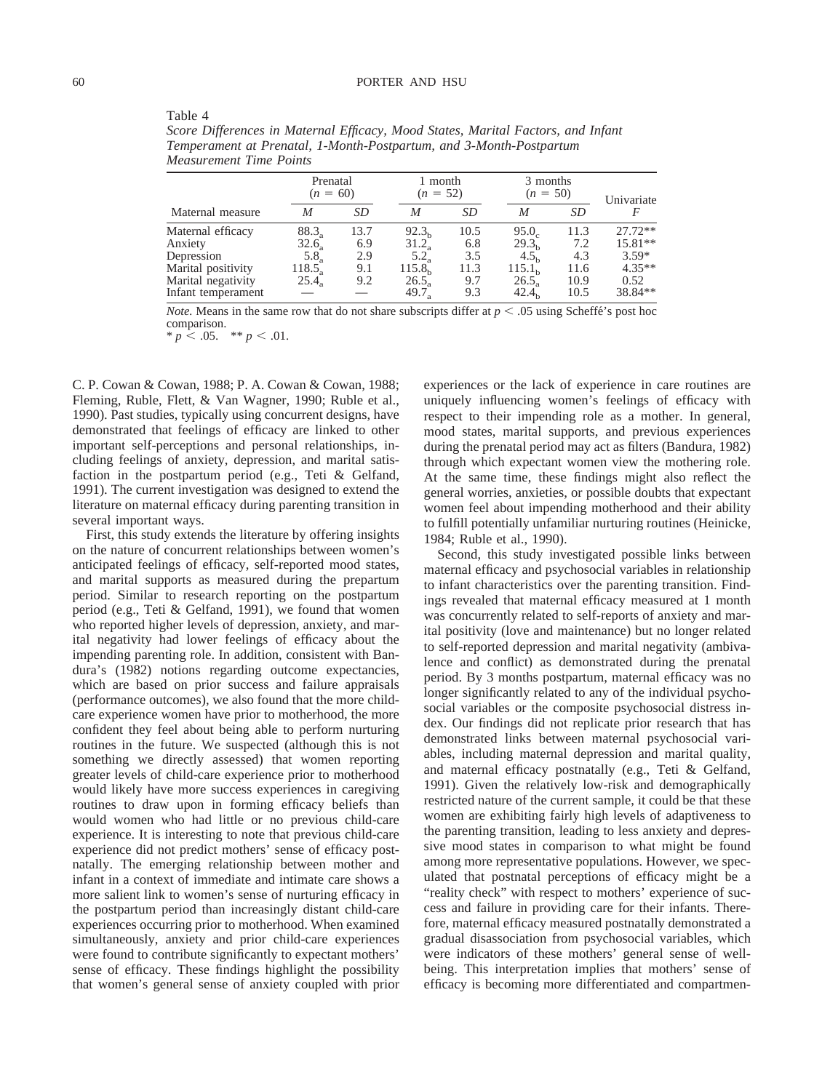## Table 4

*Score Differences in Maternal Efficacy, Mood States, Marital Factors, and Infant Temperament at Prenatal, 1-Month-Postpartum, and 3-Month-Postpartum Measurement Time Points*

|                    |                   | Prenatal<br>$(n = 60)$ |                    | 1 month<br>$(n = 52)$ |                    | 3 months<br>$(n = 50)$ |            |
|--------------------|-------------------|------------------------|--------------------|-----------------------|--------------------|------------------------|------------|
| Maternal measure   | M                 | SD                     | M                  | <i>SD</i>             | M                  | SD.                    | Univariate |
| Maternal efficacy  | $88.3_a$          | 13.7                   | 92.3 <sub>b</sub>  | 10.5                  | 95.0               | 11.3                   | $27.72**$  |
| Anxiety            | $32.6_a$          | 6.9                    | $31.2_a$           | 6.8                   | 29.3 <sub>b</sub>  | 7.2                    | $15.81**$  |
| Depression         | 5.8 <sub>1</sub>  | 2.9                    | $5.2_a$            | 3.5                   | 4.5 <sub>b</sub>   | 4.3                    | $3.59*$    |
| Marital positivity | $118.5_a$         | 9.1                    | 115.8 <sub>b</sub> | 11.3                  | 115.1 <sub>b</sub> | 11.6                   | $4.35**$   |
| Marital negativity | 25.4 <sub>a</sub> | 9.2                    | $26.5_a$           | 9.7                   | $26.5_{\circ}$     | 10.9                   | 0.52       |
| Infant temperament |                   |                        | 49.7 <sub>a</sub>  | 9.3                   | 42.4 <sub>b</sub>  | 10.5                   | 38.84**    |

*Note.* Means in the same row that do not share subscripts differ at  $p < .05$  using Scheffe's post hoc comparison.

 $* p < .05.$  \*\*  $p < .01.$ 

C. P. Cowan & Cowan, 1988; P. A. Cowan & Cowan, 1988; Fleming, Ruble, Flett, & Van Wagner, 1990; Ruble et al., 1990). Past studies, typically using concurrent designs, have demonstrated that feelings of efficacy are linked to other important self-perceptions and personal relationships, including feelings of anxiety, depression, and marital satisfaction in the postpartum period (e.g., Teti & Gelfand, 1991). The current investigation was designed to extend the literature on maternal efficacy during parenting transition in several important ways.

First, this study extends the literature by offering insights on the nature of concurrent relationships between women's anticipated feelings of efficacy, self-reported mood states, and marital supports as measured during the prepartum period. Similar to research reporting on the postpartum period (e.g., Teti & Gelfand, 1991), we found that women who reported higher levels of depression, anxiety, and marital negativity had lower feelings of efficacy about the impending parenting role. In addition, consistent with Bandura's (1982) notions regarding outcome expectancies, which are based on prior success and failure appraisals (performance outcomes), we also found that the more childcare experience women have prior to motherhood, the more confident they feel about being able to perform nurturing routines in the future. We suspected (although this is not something we directly assessed) that women reporting greater levels of child-care experience prior to motherhood would likely have more success experiences in caregiving routines to draw upon in forming efficacy beliefs than would women who had little or no previous child-care experience. It is interesting to note that previous child-care experience did not predict mothers' sense of efficacy postnatally. The emerging relationship between mother and infant in a context of immediate and intimate care shows a more salient link to women's sense of nurturing efficacy in the postpartum period than increasingly distant child-care experiences occurring prior to motherhood. When examined simultaneously, anxiety and prior child-care experiences were found to contribute significantly to expectant mothers' sense of efficacy. These findings highlight the possibility that women's general sense of anxiety coupled with prior experiences or the lack of experience in care routines are uniquely influencing women's feelings of efficacy with respect to their impending role as a mother. In general, mood states, marital supports, and previous experiences during the prenatal period may act as filters (Bandura, 1982) through which expectant women view the mothering role. At the same time, these findings might also reflect the general worries, anxieties, or possible doubts that expectant women feel about impending motherhood and their ability to fulfill potentially unfamiliar nurturing routines (Heinicke, 1984; Ruble et al., 1990).

Second, this study investigated possible links between maternal efficacy and psychosocial variables in relationship to infant characteristics over the parenting transition. Findings revealed that maternal efficacy measured at 1 month was concurrently related to self-reports of anxiety and marital positivity (love and maintenance) but no longer related to self-reported depression and marital negativity (ambivalence and conflict) as demonstrated during the prenatal period. By 3 months postpartum, maternal efficacy was no longer significantly related to any of the individual psychosocial variables or the composite psychosocial distress index. Our findings did not replicate prior research that has demonstrated links between maternal psychosocial variables, including maternal depression and marital quality, and maternal efficacy postnatally (e.g., Teti & Gelfand, 1991). Given the relatively low-risk and demographically restricted nature of the current sample, it could be that these women are exhibiting fairly high levels of adaptiveness to the parenting transition, leading to less anxiety and depressive mood states in comparison to what might be found among more representative populations. However, we speculated that postnatal perceptions of efficacy might be a "reality check" with respect to mothers' experience of success and failure in providing care for their infants. Therefore, maternal efficacy measured postnatally demonstrated a gradual disassociation from psychosocial variables, which were indicators of these mothers' general sense of wellbeing. This interpretation implies that mothers' sense of efficacy is becoming more differentiated and compartmen-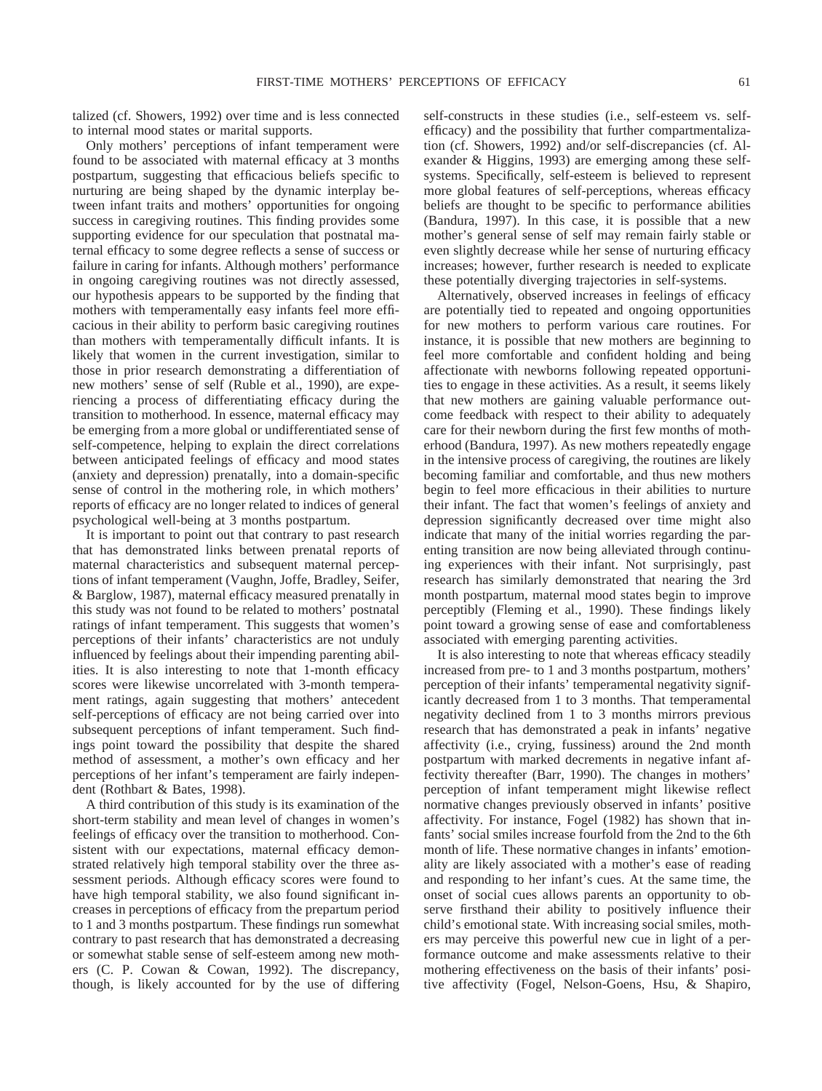talized (cf. Showers, 1992) over time and is less connected to internal mood states or marital supports.

Only mothers' perceptions of infant temperament were found to be associated with maternal efficacy at 3 months postpartum, suggesting that efficacious beliefs specific to nurturing are being shaped by the dynamic interplay between infant traits and mothers' opportunities for ongoing success in caregiving routines. This finding provides some supporting evidence for our speculation that postnatal maternal efficacy to some degree reflects a sense of success or failure in caring for infants. Although mothers' performance in ongoing caregiving routines was not directly assessed, our hypothesis appears to be supported by the finding that mothers with temperamentally easy infants feel more efficacious in their ability to perform basic caregiving routines than mothers with temperamentally difficult infants. It is likely that women in the current investigation, similar to those in prior research demonstrating a differentiation of new mothers' sense of self (Ruble et al., 1990), are experiencing a process of differentiating efficacy during the transition to motherhood. In essence, maternal efficacy may be emerging from a more global or undifferentiated sense of self-competence, helping to explain the direct correlations between anticipated feelings of efficacy and mood states (anxiety and depression) prenatally, into a domain-specific sense of control in the mothering role, in which mothers' reports of efficacy are no longer related to indices of general psychological well-being at 3 months postpartum.

It is important to point out that contrary to past research that has demonstrated links between prenatal reports of maternal characteristics and subsequent maternal perceptions of infant temperament (Vaughn, Joffe, Bradley, Seifer, & Barglow, 1987), maternal efficacy measured prenatally in this study was not found to be related to mothers' postnatal ratings of infant temperament. This suggests that women's perceptions of their infants' characteristics are not unduly influenced by feelings about their impending parenting abilities. It is also interesting to note that 1-month efficacy scores were likewise uncorrelated with 3-month temperament ratings, again suggesting that mothers' antecedent self-perceptions of efficacy are not being carried over into subsequent perceptions of infant temperament. Such findings point toward the possibility that despite the shared method of assessment, a mother's own efficacy and her perceptions of her infant's temperament are fairly independent (Rothbart & Bates, 1998).

A third contribution of this study is its examination of the short-term stability and mean level of changes in women's feelings of efficacy over the transition to motherhood. Consistent with our expectations, maternal efficacy demonstrated relatively high temporal stability over the three assessment periods. Although efficacy scores were found to have high temporal stability, we also found significant increases in perceptions of efficacy from the prepartum period to 1 and 3 months postpartum. These findings run somewhat contrary to past research that has demonstrated a decreasing or somewhat stable sense of self-esteem among new mothers (C. P. Cowan & Cowan, 1992). The discrepancy, though, is likely accounted for by the use of differing

self-constructs in these studies (i.e., self-esteem vs. selfefficacy) and the possibility that further compartmentalization (cf. Showers, 1992) and/or self-discrepancies (cf. Alexander & Higgins, 1993) are emerging among these selfsystems. Specifically, self-esteem is believed to represent more global features of self-perceptions, whereas efficacy beliefs are thought to be specific to performance abilities (Bandura, 1997). In this case, it is possible that a new mother's general sense of self may remain fairly stable or even slightly decrease while her sense of nurturing efficacy increases; however, further research is needed to explicate these potentially diverging trajectories in self-systems.

Alternatively, observed increases in feelings of efficacy are potentially tied to repeated and ongoing opportunities for new mothers to perform various care routines. For instance, it is possible that new mothers are beginning to feel more comfortable and confident holding and being affectionate with newborns following repeated opportunities to engage in these activities. As a result, it seems likely that new mothers are gaining valuable performance outcome feedback with respect to their ability to adequately care for their newborn during the first few months of motherhood (Bandura, 1997). As new mothers repeatedly engage in the intensive process of caregiving, the routines are likely becoming familiar and comfortable, and thus new mothers begin to feel more efficacious in their abilities to nurture their infant. The fact that women's feelings of anxiety and depression significantly decreased over time might also indicate that many of the initial worries regarding the parenting transition are now being alleviated through continuing experiences with their infant. Not surprisingly, past research has similarly demonstrated that nearing the 3rd month postpartum, maternal mood states begin to improve perceptibly (Fleming et al., 1990). These findings likely point toward a growing sense of ease and comfortableness associated with emerging parenting activities.

It is also interesting to note that whereas efficacy steadily increased from pre- to 1 and 3 months postpartum, mothers' perception of their infants' temperamental negativity significantly decreased from 1 to 3 months. That temperamental negativity declined from 1 to 3 months mirrors previous research that has demonstrated a peak in infants' negative affectivity (i.e., crying, fussiness) around the 2nd month postpartum with marked decrements in negative infant affectivity thereafter (Barr, 1990). The changes in mothers' perception of infant temperament might likewise reflect normative changes previously observed in infants' positive affectivity. For instance, Fogel (1982) has shown that infants' social smiles increase fourfold from the 2nd to the 6th month of life. These normative changes in infants' emotionality are likely associated with a mother's ease of reading and responding to her infant's cues. At the same time, the onset of social cues allows parents an opportunity to observe firsthand their ability to positively influence their child's emotional state. With increasing social smiles, mothers may perceive this powerful new cue in light of a performance outcome and make assessments relative to their mothering effectiveness on the basis of their infants' positive affectivity (Fogel, Nelson-Goens, Hsu, & Shapiro,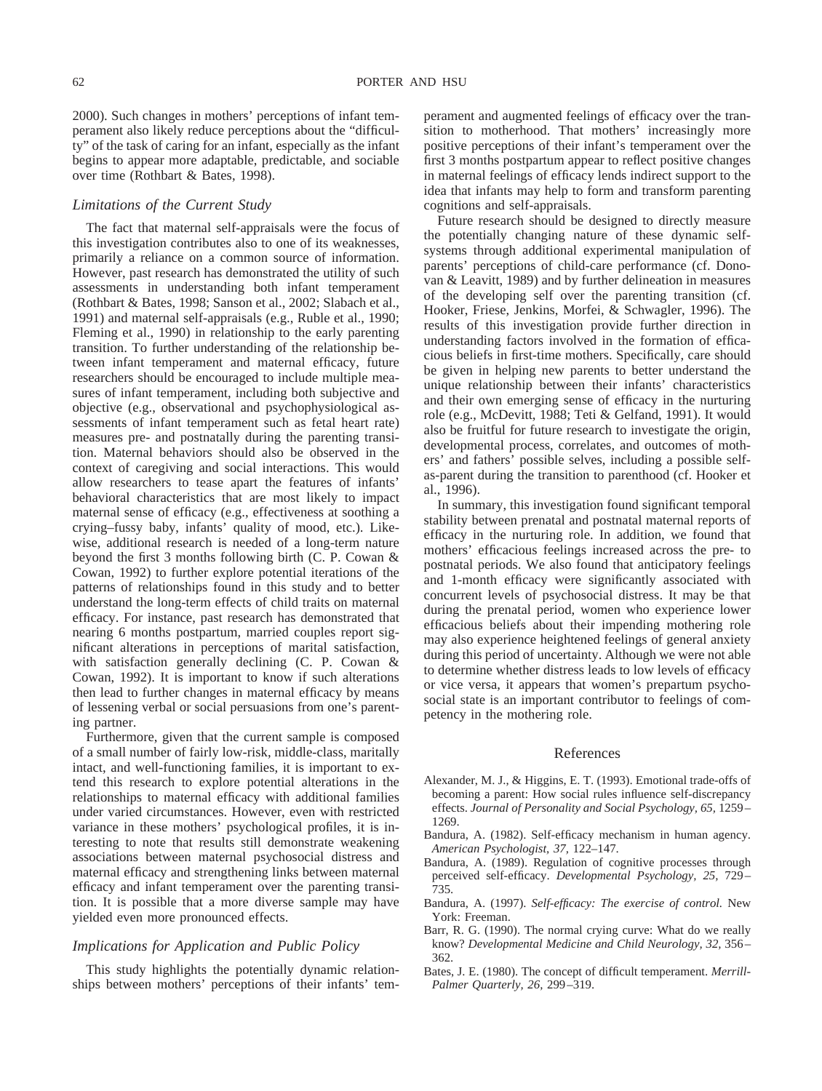2000). Such changes in mothers' perceptions of infant temperament also likely reduce perceptions about the "difficulty" of the task of caring for an infant, especially as the infant begins to appear more adaptable, predictable, and sociable over time (Rothbart & Bates, 1998).

# *Limitations of the Current Study*

The fact that maternal self-appraisals were the focus of this investigation contributes also to one of its weaknesses, primarily a reliance on a common source of information. However, past research has demonstrated the utility of such assessments in understanding both infant temperament (Rothbart & Bates, 1998; Sanson et al., 2002; Slabach et al., 1991) and maternal self-appraisals (e.g., Ruble et al., 1990; Fleming et al., 1990) in relationship to the early parenting transition. To further understanding of the relationship between infant temperament and maternal efficacy, future researchers should be encouraged to include multiple measures of infant temperament, including both subjective and objective (e.g., observational and psychophysiological assessments of infant temperament such as fetal heart rate) measures pre- and postnatally during the parenting transition. Maternal behaviors should also be observed in the context of caregiving and social interactions. This would allow researchers to tease apart the features of infants' behavioral characteristics that are most likely to impact maternal sense of efficacy (e.g., effectiveness at soothing a crying–fussy baby, infants' quality of mood, etc.). Likewise, additional research is needed of a long-term nature beyond the first 3 months following birth (C. P. Cowan & Cowan, 1992) to further explore potential iterations of the patterns of relationships found in this study and to better understand the long-term effects of child traits on maternal efficacy. For instance, past research has demonstrated that nearing 6 months postpartum, married couples report significant alterations in perceptions of marital satisfaction, with satisfaction generally declining (C. P. Cowan & Cowan, 1992). It is important to know if such alterations then lead to further changes in maternal efficacy by means of lessening verbal or social persuasions from one's parenting partner.

Furthermore, given that the current sample is composed of a small number of fairly low-risk, middle-class, maritally intact, and well-functioning families, it is important to extend this research to explore potential alterations in the relationships to maternal efficacy with additional families under varied circumstances. However, even with restricted variance in these mothers' psychological profiles, it is interesting to note that results still demonstrate weakening associations between maternal psychosocial distress and maternal efficacy and strengthening links between maternal efficacy and infant temperament over the parenting transition. It is possible that a more diverse sample may have yielded even more pronounced effects.

#### *Implications for Application and Public Policy*

This study highlights the potentially dynamic relationships between mothers' perceptions of their infants' tem-

perament and augmented feelings of efficacy over the transition to motherhood. That mothers' increasingly more positive perceptions of their infant's temperament over the first 3 months postpartum appear to reflect positive changes in maternal feelings of efficacy lends indirect support to the idea that infants may help to form and transform parenting cognitions and self-appraisals.

Future research should be designed to directly measure the potentially changing nature of these dynamic selfsystems through additional experimental manipulation of parents' perceptions of child-care performance (cf. Donovan & Leavitt, 1989) and by further delineation in measures of the developing self over the parenting transition (cf. Hooker, Friese, Jenkins, Morfei, & Schwagler, 1996). The results of this investigation provide further direction in understanding factors involved in the formation of efficacious beliefs in first-time mothers. Specifically, care should be given in helping new parents to better understand the unique relationship between their infants' characteristics and their own emerging sense of efficacy in the nurturing role (e.g., McDevitt, 1988; Teti & Gelfand, 1991). It would also be fruitful for future research to investigate the origin, developmental process, correlates, and outcomes of mothers' and fathers' possible selves, including a possible selfas-parent during the transition to parenthood (cf. Hooker et al., 1996).

In summary, this investigation found significant temporal stability between prenatal and postnatal maternal reports of efficacy in the nurturing role. In addition, we found that mothers' efficacious feelings increased across the pre- to postnatal periods. We also found that anticipatory feelings and 1-month efficacy were significantly associated with concurrent levels of psychosocial distress. It may be that during the prenatal period, women who experience lower efficacious beliefs about their impending mothering role may also experience heightened feelings of general anxiety during this period of uncertainty. Although we were not able to determine whether distress leads to low levels of efficacy or vice versa, it appears that women's prepartum psychosocial state is an important contributor to feelings of competency in the mothering role.

#### References

- Alexander, M. J., & Higgins, E. T. (1993). Emotional trade-offs of becoming a parent: How social rules influence self-discrepancy effects. *Journal of Personality and Social Psychology, 65,* 1259– 1269.
- Bandura, A. (1982). Self-efficacy mechanism in human agency. *American Psychologist, 37,* 122–147.
- Bandura, A. (1989). Regulation of cognitive processes through perceived self-efficacy. *Developmental Psychology, 25,* 729– 735.
- Bandura, A. (1997). *Self-efficacy: The exercise of control.* New York: Freeman.
- Barr, R. G. (1990). The normal crying curve: What do we really know? *Developmental Medicine and Child Neurology, 32,* 356– 362.
- Bates, J. E. (1980). The concept of difficult temperament. *Merrill-Palmer Quarterly, 26,* 299–319.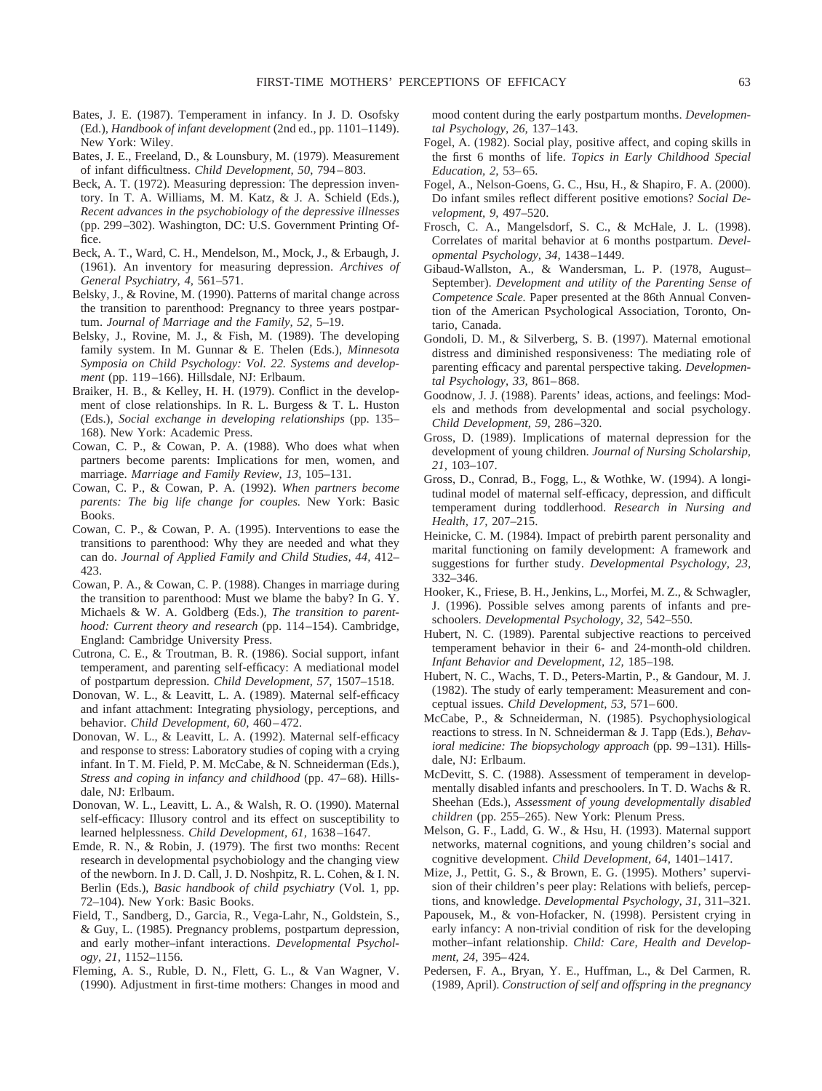- Bates, J. E. (1987). Temperament in infancy. In J. D. Osofsky (Ed.), *Handbook of infant development* (2nd ed., pp. 1101–1149). New York: Wiley.
- Bates, J. E., Freeland, D., & Lounsbury, M. (1979). Measurement of infant difficultness. *Child Development, 50,* 794–803.
- Beck, A. T. (1972). Measuring depression: The depression inventory. In T. A. Williams, M. M. Katz, & J. A. Schield (Eds.), *Recent advances in the psychobiology of the depressive illnesses* (pp. 299–302). Washington, DC: U.S. Government Printing Office.
- Beck, A. T., Ward, C. H., Mendelson, M., Mock, J., & Erbaugh, J. (1961). An inventory for measuring depression. *Archives of General Psychiatry, 4,* 561–571.
- Belsky, J., & Rovine, M. (1990). Patterns of marital change across the transition to parenthood: Pregnancy to three years postpartum. *Journal of Marriage and the Family, 52,* 5–19.
- Belsky, J., Rovine, M. J., & Fish, M. (1989). The developing family system. In M. Gunnar & E. Thelen (Eds.), *Minnesota Symposia on Child Psychology: Vol. 22. Systems and development* (pp. 119–166). Hillsdale, NJ: Erlbaum.
- Braiker, H. B., & Kelley, H. H. (1979). Conflict in the development of close relationships. In R. L. Burgess & T. L. Huston (Eds.), *Social exchange in developing relationships* (pp. 135– 168). New York: Academic Press.
- Cowan, C. P., & Cowan, P. A. (1988). Who does what when partners become parents: Implications for men, women, and marriage. *Marriage and Family Review, 13,* 105–131.
- Cowan, C. P., & Cowan, P. A. (1992). *When partners become parents: The big life change for couples.* New York: Basic Books.
- Cowan, C. P., & Cowan, P. A. (1995). Interventions to ease the transitions to parenthood: Why they are needed and what they can do. *Journal of Applied Family and Child Studies, 44,* 412– 423.
- Cowan, P. A., & Cowan, C. P. (1988). Changes in marriage during the transition to parenthood: Must we blame the baby? In G. Y. Michaels & W. A. Goldberg (Eds.), *The transition to parenthood: Current theory and research* (pp. 114–154). Cambridge, England: Cambridge University Press.
- Cutrona, C. E., & Troutman, B. R. (1986). Social support, infant temperament, and parenting self-efficacy: A mediational model of postpartum depression. *Child Development, 57,* 1507–1518.
- Donovan, W. L., & Leavitt, L. A. (1989). Maternal self-efficacy and infant attachment: Integrating physiology, perceptions, and behavior. *Child Development, 60,* 460–472.
- Donovan, W. L., & Leavitt, L. A. (1992). Maternal self-efficacy and response to stress: Laboratory studies of coping with a crying infant. In T. M. Field, P. M. McCabe, & N. Schneiderman (Eds.), *Stress and coping in infancy and childhood* (pp. 47–68). Hillsdale, NJ: Erlbaum.
- Donovan, W. L., Leavitt, L. A., & Walsh, R. O. (1990). Maternal self-efficacy: Illusory control and its effect on susceptibility to learned helplessness. *Child Development, 61,* 1638–1647.
- Emde, R. N., & Robin, J. (1979). The first two months: Recent research in developmental psychobiology and the changing view of the newborn. In J. D. Call, J. D. Noshpitz, R. L. Cohen, & I. N. Berlin (Eds.), *Basic handbook of child psychiatry* (Vol. 1, pp. 72–104). New York: Basic Books.
- Field, T., Sandberg, D., Garcia, R., Vega-Lahr, N., Goldstein, S., & Guy, L. (1985). Pregnancy problems, postpartum depression, and early mother–infant interactions. *Developmental Psychology, 21,* 1152–1156.
- Fleming, A. S., Ruble, D. N., Flett, G. L., & Van Wagner, V. (1990). Adjustment in first-time mothers: Changes in mood and

mood content during the early postpartum months. *Developmental Psychology, 26,* 137–143.

- Fogel, A. (1982). Social play, positive affect, and coping skills in the first 6 months of life. *Topics in Early Childhood Special Education, 2,* 53–65.
- Fogel, A., Nelson-Goens, G. C., Hsu, H., & Shapiro, F. A. (2000). Do infant smiles reflect different positive emotions? *Social Development, 9,* 497–520.
- Frosch, C. A., Mangelsdorf, S. C., & McHale, J. L. (1998). Correlates of marital behavior at 6 months postpartum. *Developmental Psychology, 34,* 1438–1449.
- Gibaud-Wallston, A., & Wandersman, L. P. (1978, August– September). *Development and utility of the Parenting Sense of Competence Scale.* Paper presented at the 86th Annual Convention of the American Psychological Association, Toronto, Ontario, Canada.
- Gondoli, D. M., & Silverberg, S. B. (1997). Maternal emotional distress and diminished responsiveness: The mediating role of parenting efficacy and parental perspective taking. *Developmental Psychology, 33,* 861–868.
- Goodnow, J. J. (1988). Parents' ideas, actions, and feelings: Models and methods from developmental and social psychology. *Child Development, 59,* 286–320.
- Gross, D. (1989). Implications of maternal depression for the development of young children. *Journal of Nursing Scholarship, 21,* 103–107.
- Gross, D., Conrad, B., Fogg, L., & Wothke, W. (1994). A longitudinal model of maternal self-efficacy, depression, and difficult temperament during toddlerhood. *Research in Nursing and Health, 17,* 207–215.
- Heinicke, C. M. (1984). Impact of prebirth parent personality and marital functioning on family development: A framework and suggestions for further study. *Developmental Psychology, 23,* 332–346.
- Hooker, K., Friese, B. H., Jenkins, L., Morfei, M. Z., & Schwagler, J. (1996). Possible selves among parents of infants and preschoolers. *Developmental Psychology, 32,* 542–550.
- Hubert, N. C. (1989). Parental subjective reactions to perceived temperament behavior in their 6- and 24-month-old children. *Infant Behavior and Development, 12,* 185–198.
- Hubert, N. C., Wachs, T. D., Peters-Martin, P., & Gandour, M. J. (1982). The study of early temperament: Measurement and conceptual issues. *Child Development, 53,* 571–600.
- McCabe, P., & Schneiderman, N. (1985). Psychophysiological reactions to stress. In N. Schneiderman & J. Tapp (Eds.), *Behavioral medicine: The biopsychology approach* (pp. 99–131). Hillsdale, NJ: Erlbaum.
- McDevitt, S. C. (1988). Assessment of temperament in developmentally disabled infants and preschoolers. In T. D. Wachs & R. Sheehan (Eds.), *Assessment of young developmentally disabled children* (pp. 255–265). New York: Plenum Press.
- Melson, G. F., Ladd, G. W., & Hsu, H. (1993). Maternal support networks, maternal cognitions, and young children's social and cognitive development. *Child Development, 64,* 1401–1417.
- Mize, J., Pettit, G. S., & Brown, E. G. (1995). Mothers' supervision of their children's peer play: Relations with beliefs, perceptions, and knowledge. *Developmental Psychology, 31,* 311–321.
- Papousek, M., & von-Hofacker, N. (1998). Persistent crying in early infancy: A non-trivial condition of risk for the developing mother–infant relationship. *Child: Care, Health and Development, 24,* 395–424.
- Pedersen, F. A., Bryan, Y. E., Huffman, L., & Del Carmen, R. (1989, April). *Construction of self and offspring in the pregnancy*